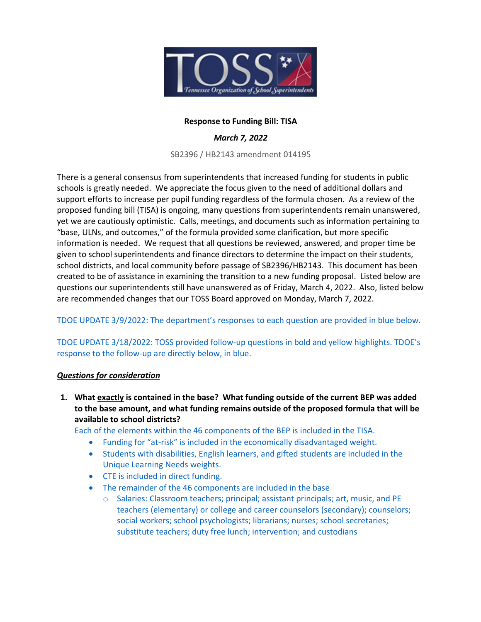

# **Response to Funding Bill: TISA**

# *March 7, 2022*

SB2396 / HB2143 amendment 014195

There is a general consensus from superintendents that increased funding for students in public schools is greatly needed. We appreciate the focus given to the need of additional dollars and support efforts to increase per pupil funding regardless of the formula chosen. As a review of the proposed funding bill (TISA) is ongoing, many questions from superintendents remain unanswered, yet we are cautiously optimistic. Calls, meetings, and documents such as information pertaining to "base, ULNs, and outcomes," of the formula provided some clarification, but more specific information is needed. We request that all questions be reviewed, answered, and proper time be given to school superintendents and finance directors to determine the impact on their students, school districts, and local community before passage of SB2396/HB2143. This document has been created to be of assistance in examining the transition to a new funding proposal. Listed below are questions our superintendents still have unanswered as of Friday, March 4, 2022. Also, listed below are recommended changes that our TOSS Board approved on Monday, March 7, 2022.

# TDOE UPDATE 3/9/2022: The department's responses to each question are provided in blue below.

TDOE UPDATE 3/18/2022: TOSS provided follow-up questions in bold and yellow highlights. TDOE's response to the follow-up are directly below, in blue.

#### *Questions for consideration*

**1. What exactly is contained in the base? What funding outside of the current BEP was added to the base amount, and what funding remains outside of the proposed formula that will be available to school districts?**

Each of the elements within the 46 components of the BEP is included in the TISA.

- Funding for "at-risk" is included in the economically disadvantaged weight.
- Students with disabilities, English learners, and gifted students are included in the Unique Learning Needs weights.
- CTE is included in direct funding.
- The remainder of the 46 components are included in the base
	- o Salaries: Classroom teachers; principal; assistant principals; art, music, and PE teachers (elementary) or college and career counselors (secondary); counselors; social workers; school psychologists; librarians; nurses; school secretaries; substitute teachers; duty free lunch; intervention; and custodians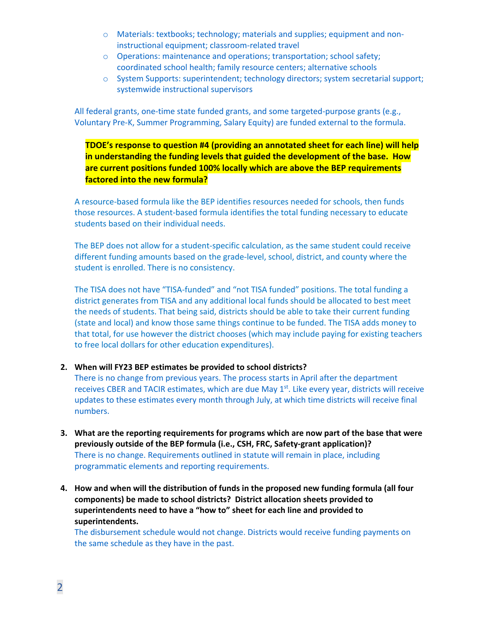- o Materials: textbooks; technology; materials and supplies; equipment and noninstructional equipment; classroom-related travel
- o Operations: maintenance and operations; transportation; school safety; coordinated school health; family resource centers; alternative schools
- o System Supports: superintendent; technology directors; system secretarial support; systemwide instructional supervisors

All federal grants, one-time state funded grants, and some targeted-purpose grants (e.g., Voluntary Pre-K, Summer Programming, Salary Equity) are funded external to the formula.

**TDOE's response to question #4 (providing an annotated sheet for each line) will help in understanding the funding levels that guided the development of the base. How are current positions funded 100% locally which are above the BEP requirements factored into the new formula?**

A resource-based formula like the BEP identifies resources needed for schools, then funds those resources. A student-based formula identifies the total funding necessary to educate students based on their individual needs.

The BEP does not allow for a student-specific calculation, as the same student could receive different funding amounts based on the grade-level, school, district, and county where the student is enrolled. There is no consistency.

The TISA does not have "TISA-funded" and "not TISA funded" positions. The total funding a district generates from TISA and any additional local funds should be allocated to best meet the needs of students. That being said, districts should be able to take their current funding (state and local) and know those same things continue to be funded. The TISA adds money to that total, for use however the district chooses (which may include paying for existing teachers to free local dollars for other education expenditures).

# **2. When will FY23 BEP estimates be provided to school districts?**

There is no change from previous years. The process starts in April after the department receives CBER and TACIR estimates, which are due May 1<sup>st</sup>. Like every year, districts will receive updates to these estimates every month through July, at which time districts will receive final numbers.

- **3. What are the reporting requirements for programs which are now part of the base that were previously outside of the BEP formula (i.e., CSH, FRC, Safety-grant application)?** There is no change. Requirements outlined in statute will remain in place, including programmatic elements and reporting requirements.
- **4. How and when will the distribution of funds in the proposed new funding formula (all four components) be made to school districts? District allocation sheets provided to superintendents need to have a "how to" sheet for each line and provided to superintendents.**

The disbursement schedule would not change. Districts would receive funding payments on the same schedule as they have in the past.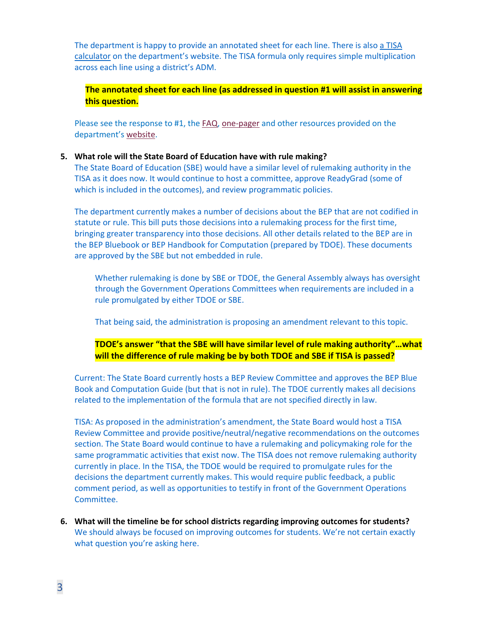The department is happy to provide an annotated sheet for each line. There is also a TISA calculator on the department's website. The TISA formula only requires simple multiplication across each line using a district's ADM.

**The annotated sheet for each line (as addressed in question #1 will assist in answering this question.**

Please see the response to #1, the FAQ, one-pager and other resources provided on the department's website.

#### **5. What role will the State Board of Education have with rule making?**

The State Board of Education (SBE) would have a similar level of rulemaking authority in the TISA as it does now. It would continue to host a committee, approve ReadyGrad (some of which is included in the outcomes), and review programmatic policies.

The department currently makes a number of decisions about the BEP that are not codified in statute or rule. This bill puts those decisions into a rulemaking process for the first time, bringing greater transparency into those decisions. All other details related to the BEP are in the BEP Bluebook or BEP Handbook for Computation (prepared by TDOE). These documents are approved by the SBE but not embedded in rule.

Whether rulemaking is done by SBE or TDOE, the General Assembly always has oversight through the Government Operations Committees when requirements are included in a rule promulgated by either TDOE or SBE.

That being said, the administration is proposing an amendment relevant to this topic.

**TDOE's answer "that the SBE will have similar level of rule making authority"…what will the difference of rule making be by both TDOE and SBE if TISA is passed?**

Current: The State Board currently hosts a BEP Review Committee and approves the BEP Blue Book and Computation Guide (but that is not in rule). The TDOE currently makes all decisions related to the implementation of the formula that are not specified directly in law.

TISA: As proposed in the administration's amendment, the State Board would host a TISA Review Committee and provide positive/neutral/negative recommendations on the outcomes section. The State Board would continue to have a rulemaking and policymaking role for the same programmatic activities that exist now. The TISA does not remove rulemaking authority currently in place. In the TISA, the TDOE would be required to promulgate rules for the decisions the department currently makes. This would require public feedback, a public comment period, as well as opportunities to testify in front of the Government Operations Committee.

**6. What will the timeline be for school districts regarding improving outcomes for students?** We should always be focused on improving outcomes for students. We're not certain exactly what question you're asking here.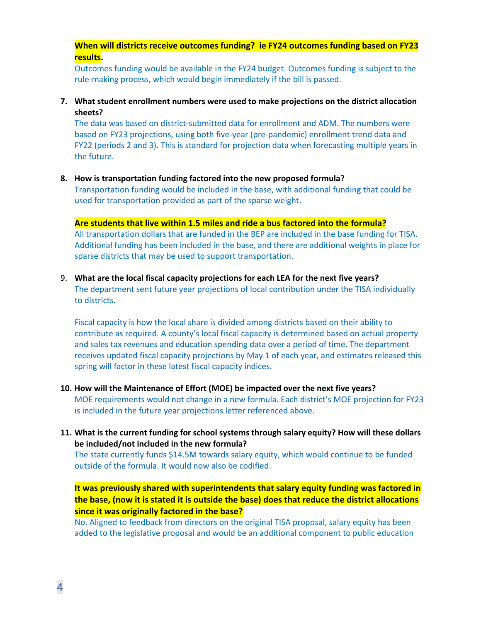**When will districts receive outcomes funding? ie FY24 outcomes funding based on FY23 results.**

Outcomes funding would be available in the FY24 budget. Outcomes funding is subject to the rule-making process, which would begin immediately if the bill is passed.

**7. What student enrollment numbers were used to make projections on the district allocation sheets?**

The data was based on district-submitted data for enrollment and ADM. The numbers were based on FY23 projections, using both five-year (pre-pandemic) enrollment trend data and FY22 (periods 2 and 3). This is standard for projection data when forecasting multiple years in the future.

### **8. How is transportation funding factored into the new proposed formula?**

Transportation funding would be included in the base, with additional funding that could be used for transportation provided as part of the sparse weight.

#### **Are students that live within 1.5 miles and ride a bus factored into the formula?**

All transportation dollars that are funded in the BEP are included in the base funding for TISA. Additional funding has been included in the base, and there are additional weights in place for sparse districts that may be used to support transportation.

9. **What are the local fiscal capacity projections for each LEA for the next five years?** The department sent future year projections of local contribution under the TISA individually to districts.

Fiscal capacity is how the local share is divided among districts based on their ability to contribute as required. A county's local fiscal capacity is determined based on actual property and sales tax revenues and education spending data over a period of time. The department receives updated fiscal capacity projections by May 1 of each year, and estimates released this spring will factor in these latest fiscal capacity indices.

- **10. How will the Maintenance of Effort (MOE) be impacted over the next five years?** MOE requirements would not change in a new formula. Each district's MOE projection for FY23 is included in the future year projections letter referenced above.
- **11. What is the current funding for school systems through salary equity? How will these dollars be included/not included in the new formula?**

The state currently funds \$14.5M towards salary equity, which would continue to be funded outside of the formula. It would now also be codified.

**It was previously shared with superintendents that salary equity funding was factored in the base, (now it is stated it is outside the base) does that reduce the district allocations since it was originally factored in the base?**

No. Aligned to feedback from directors on the original TISA proposal, salary equity has been added to the legislative proposal and would be an additional component to public education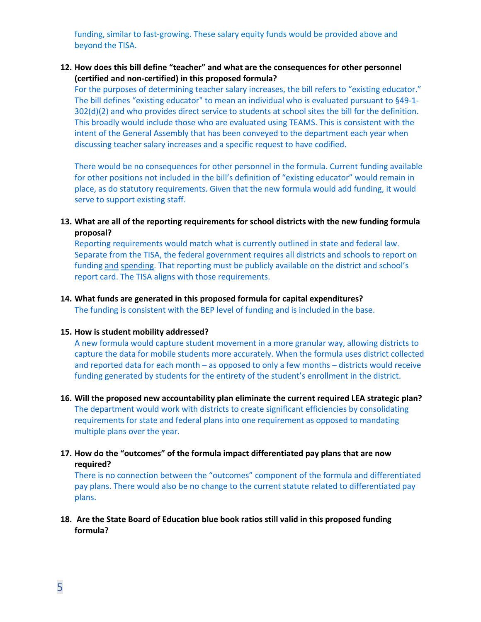funding, similar to fast-growing. These salary equity funds would be provided above and beyond the TISA.

# **12. How does this bill define "teacher" and what are the consequences for other personnel (certified and non-certified) in this proposed formula?**

For the purposes of determining teacher salary increases, the bill refers to "existing educator." The bill defines "existing educator" to mean an individual who is evaluated pursuant to §49-1- 302(d)(2) and who provides direct service to students at school sites the bill for the definition. This broadly would include those who are evaluated using TEAMS. This is consistent with the intent of the General Assembly that has been conveyed to the department each year when discussing teacher salary increases and a specific request to have codified.

There would be no consequences for other personnel in the formula. Current funding available for other positions not included in the bill's definition of "existing educator" would remain in place, as do statutory requirements. Given that the new formula would add funding, it would serve to support existing staff.

### **13. What are all of the reporting requirements for school districts with the new funding formula proposal?**

Reporting requirements would match what is currently outlined in state and federal law. Separate from the TISA, the federal government requires all districts and schools to report on funding and spending. That reporting must be publicly available on the district and school's report card. The TISA aligns with those requirements.

#### **14. What funds are generated in this proposed formula for capital expenditures?**

The funding is consistent with the BEP level of funding and is included in the base.

#### **15. How is student mobility addressed?**

A new formula would capture student movement in a more granular way, allowing districts to capture the data for mobile students more accurately. When the formula uses district collected and reported data for each month – as opposed to only a few months – districts would receive funding generated by students for the entirety of the student's enrollment in the district.

- **16. Will the proposed new accountability plan eliminate the current required LEA strategic plan?** The department would work with districts to create significant efficiencies by consolidating requirements for state and federal plans into one requirement as opposed to mandating multiple plans over the year.
- **17. How do the "outcomes" of the formula impact differentiated pay plans that are now required?**

There is no connection between the "outcomes" component of the formula and differentiated pay plans. There would also be no change to the current statute related to differentiated pay plans.

**18. Are the State Board of Education blue book ratios still valid in this proposed funding formula?**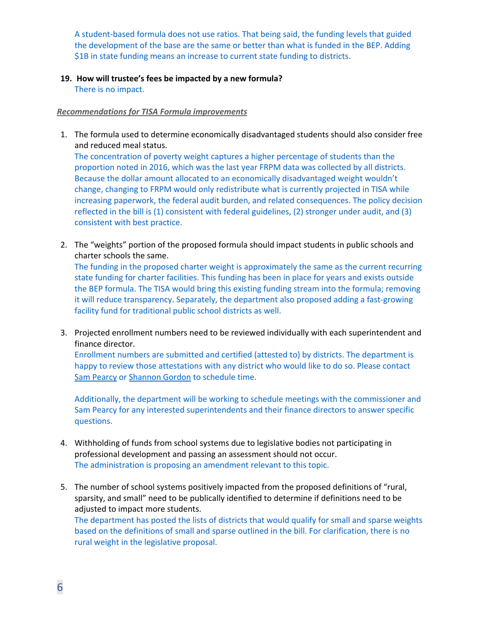A student-based formula does not use ratios. That being said, the funding levels that guided the development of the base are the same or better than what is funded in the BEP. Adding \$1B in state funding means an increase to current state funding to districts.

**19. How will trustee's fees be impacted by a new formula?**

There is no impact.

### *Recommendations for TISA Formula improvements*

1. The formula used to determine economically disadvantaged students should also consider free and reduced meal status.

The concentration of poverty weight captures a higher percentage of students than the proportion noted in 2016, which was the last year FRPM data was collected by all districts. Because the dollar amount allocated to an economically disadvantaged weight wouldn't change, changing to FRPM would only redistribute what is currently projected in TISA while increasing paperwork, the federal audit burden, and related consequences. The policy decision reflected in the bill is (1) consistent with federal guidelines, (2) stronger under audit, and (3) consistent with best practice.

2. The "weights" portion of the proposed formula should impact students in public schools and charter schools the same. The funding in the proposed charter weight is approximately the same as the current recurring state funding for charter facilities. This funding has been in place for years and exists outside

the BEP formula. The TISA would bring this existing funding stream into the formula; removing it will reduce transparency. Separately, the department also proposed adding a fast-growing facility fund for traditional public school districts as well.

3. Projected enrollment numbers need to be reviewed individually with each superintendent and finance director.

Enrollment numbers are submitted and certified (attested to) by districts. The department is happy to review those attestations with any district who would like to do so. Please contact Sam Pearcy or Shannon Gordon to schedule time.

Additionally, the department will be working to schedule meetings with the commissioner and Sam Pearcy for any interested superintendents and their finance directors to answer specific questions.

- 4. Withholding of funds from school systems due to legislative bodies not participating in professional development and passing an assessment should not occur. The administration is proposing an amendment relevant to this topic.
- 5. The number of school systems positively impacted from the proposed definitions of "rural, sparsity, and small" need to be publically identified to determine if definitions need to be adjusted to impact more students. The department has posted the lists of districts that would qualify for small and sparse weights based on the definitions of small and sparse outlined in the bill. For clarification, there is no rural weight in the legislative proposal.